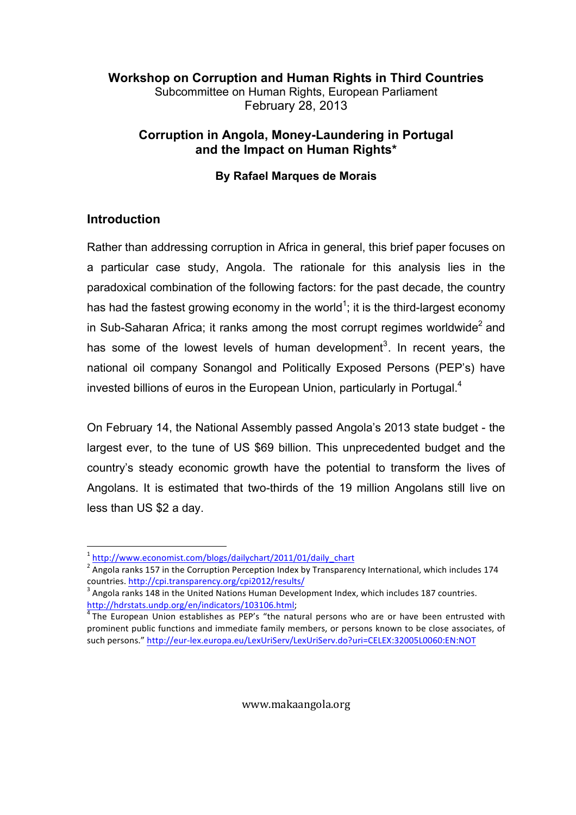## Workshop on Corruption and Human Rights in Third Countries Subcommittee on Human Rights, European Parliament February 28, 2013

## Corruption in Angola, Money-Laundering in Portugal and the Impact on Human Rights\*

#### By Rafael Marques de Morais

# Introduction

Rather than addressing corruption in Africa in general, this brief paper focuses on a particular case study, Angola. The rationale for this analysis lies in the paradoxical combination of the following factors: for the past decade, the country has had the fastest growing economy in the world<sup>1</sup>; it is the third-largest economy in Sub-Saharan Africa; it ranks among the most corrupt regimes worldwide<sup>2</sup> and has some of the lowest levels of human development<sup>3</sup>. In recent years, the national oil company Sonangol and Politically Exposed Persons (PEP's) have invested billions of euros in the European Union, particularly in Portugal.<sup>4</sup>

On February 14, the National Assembly passed Angola's 2013 state budget - the largest ever, to the tune of US \$69 billion. This unprecedented budget and the country's steady economic growth have the potential to transform the lives of Angolans. It is estimated that two-thirds of the 19 million Angolans still live on less than US \$2 a day.

<sup>!!!!!!!!!!!!!!!!!!!!!!!!!!!!!!!!!!!!!!!!!!!!!!!!!!!!!!!!</sup> <sup>1</sup> http://www.economist.com/blogs/dailychart/2011/01/daily\_chart

<sup>&</sup>lt;sup>2</sup> Angola ranks 157 in the Corruption Perception Index by Transparency International, which includes 174 countries. <u>http://cpi.transparency.org/cpi2012/results/</u><br><sup>3</sup> Angola ranks 148 in the United Nations Human Development Index, which includes 187 countries.

http://hdrstats.undp.org/en/indicators/103106.html;

 $<sup>4</sup>$ The European Union establishes as PEP's "the natural persons who are or have been entrusted with</sup> prominent public functions and immediate family members, or persons known to be close associates, of such persons." http://eur-lex.europa.eu/LexUriServ/LexUriServ.do?uri=CELEX:32005L0060:EN:NOT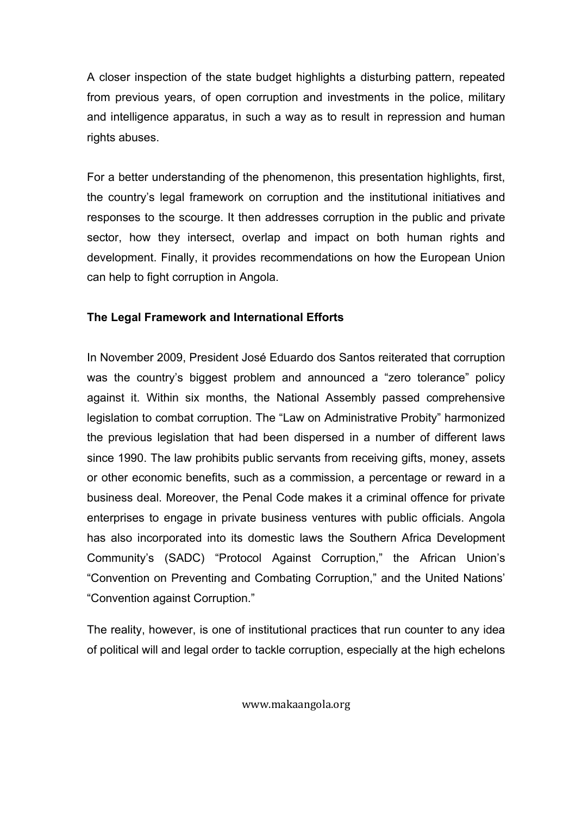A closer inspection of the state budget highlights a disturbing pattern, repeated from previous years, of open corruption and investments in the police, military and intelligence apparatus, in such a way as to result in repression and human rights abuses.

For a better understanding of the phenomenon, this presentation highlights, first, the country's legal framework on corruption and the institutional initiatives and responses to the scourge. It then addresses corruption in the public and private sector, how they intersect, overlap and impact on both human rights and development. Finally, it provides recommendations on how the European Union can help to fight corruption in Angola.

## The Legal Framework and International Efforts

In November 2009, President José Eduardo dos Santos reiterated that corruption was the country's biggest problem and announced a "zero tolerance" policy against it. Within six months, the National Assembly passed comprehensive legislation to combat corruption. The "Law on Administrative Probity" harmonized the previous legislation that had been dispersed in a number of different laws since 1990. The law prohibits public servants from receiving gifts, money, assets or other economic benefits, such as a commission, a percentage or reward in a business deal. Moreover, the Penal Code makes it a criminal offence for private enterprises to engage in private business ventures with public officials. Angola has also incorporated into its domestic laws the Southern Africa Development Community's (SADC) "Protocol Against Corruption," the African Union's "Convention on Preventing and Combating Corruption," and the United Nations' "Convention against Corruption."

The reality, however, is one of institutional practices that run counter to any idea of political will and legal order to tackle corruption, especially at the high echelons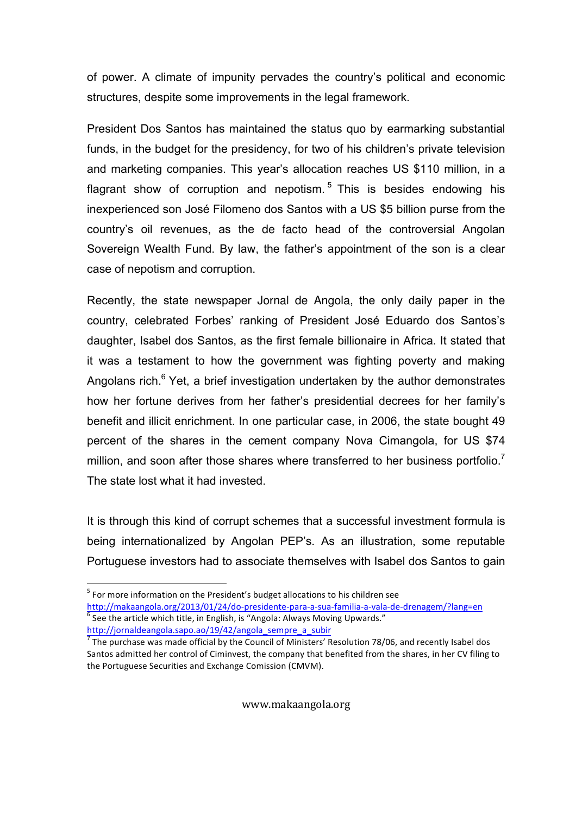of power. A climate of impunity pervades the country's political and economic structures, despite some improvements in the legal framework.

President Dos Santos has maintained the status quo by earmarking substantial funds, in the budget for the presidency, for two of his children's private television and marketing companies. This year's allocation reaches US \$110 million, in a flagrant show of corruption and nepotism.<sup>5</sup> This is besides endowing his inexperienced son José Filomeno dos Santos with a US \$5 billion purse from the country's oil revenues, as the de facto head of the controversial Angolan Sovereign Wealth Fund. By law, the father's appointment of the son is a clear case of nepotism and corruption.

Recently, the state newspaper Jornal de Angola, the only daily paper in the country, celebrated Forbes' ranking of President José Eduardo dos Santos's daughter, Isabel dos Santos, as the first female billionaire in Africa. It stated that it was a testament to how the government was fighting poverty and making Angolans rich.<sup>6</sup> Yet, a brief investigation undertaken by the author demonstrates how her fortune derives from her father's presidential decrees for her family's benefit and illicit enrichment. In one particular case, in 2006, the state bought 49 percent of the shares in the cement company Nova Cimangola, for US \$74 million, and soon after those shares where transferred to her business portfolio.<sup>7</sup> The state lost what it had invested.

It is through this kind of corrupt schemes that a successful investment formula is being internationalized by Angolan PEP's. As an illustration, some reputable Portuguese investors had to associate themselves with Isabel dos Santos to gain

<sup>!!!!!!!!!!!!!!!!!!!!!!!!!!!!!!!!!!!!!!!!!!!!!!!!!!!!!!!!</sup>  $<sup>5</sup>$  For more information on the President's budget allocations to his children see</sup>

http://makaangola.org/2013/01/24/do-presidente-para-a-sua-familia-a-vala-de-drenagem/?lang=en  $^6$  See the article which title, in English, is "Angola: Always Moving Upwards." http://jornaldeangola.sapo.ao/19/42/angola\_sempre\_a\_subir

 $^7$  The purchase was made official by the Council of Ministers' Resolution 78/06, and recently Isabel dos Santos admitted her control of Ciminvest, the company that benefited from the shares, in her CV filing to the Portuguese Securities and Exchange Comission (CMVM).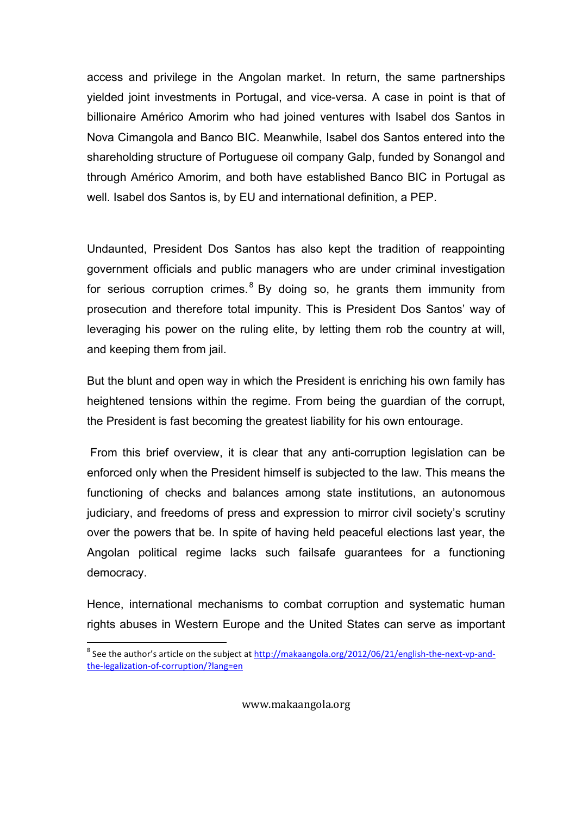access and privilege in the Angolan market. In return, the same partnerships yielded joint investments in Portugal, and vice-versa. A case in point is that of billionaire Américo Amorim who had joined ventures with Isabel dos Santos in Nova Cimangola and Banco BIC. Meanwhile, Isabel dos Santos entered into the shareholding structure of Portuguese oil company Galp, funded by Sonangol and through Américo Amorim, and both have established Banco BIC in Portugal as well. Isabel dos Santos is, by EU and international definition, a PEP.

Undaunted, President Dos Santos has also kept the tradition of reappointing government officials and public managers who are under criminal investigation for serious corruption crimes.<sup>8</sup> By doing so, he grants them immunity from prosecution and therefore total impunity. This is President Dos Santos' way of leveraging his power on the ruling elite, by letting them rob the country at will, and keeping them from jail.

But the blunt and open way in which the President is enriching his own family has heightened tensions within the regime. From being the guardian of the corrupt, the President is fast becoming the greatest liability for his own entourage.

 From this brief overview, it is clear that any anti-corruption legislation can be enforced only when the President himself is subjected to the law. This means the functioning of checks and balances among state institutions, an autonomous judiciary, and freedoms of press and expression to mirror civil society's scrutiny over the powers that be. In spite of having held peaceful elections last year, the Angolan political regime lacks such failsafe guarantees for a functioning democracy.

Hence, international mechanisms to combat corruption and systematic human rights abuses in Western Europe and the United States can serve as important

endon<br>Interpret on the subset of the subject at http://makaangola.org/2012/06/21/english-the-next-vp-and-<br>Interpret on the subset of the subject at http://makaangola.org/2012/06/21/english-the-next-vp-andthe-legalization-of-corruption/?lang=en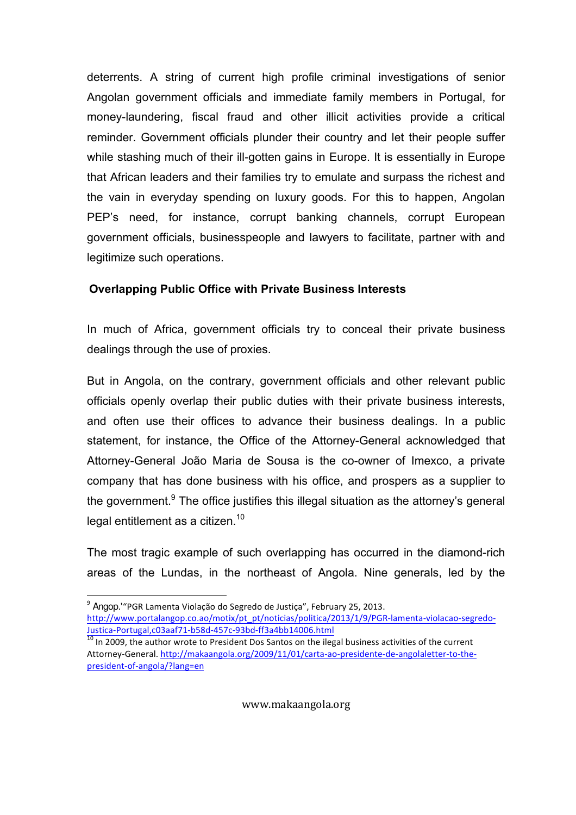deterrents. A string of current high profile criminal investigations of senior Angolan government officials and immediate family members in Portugal, for money-laundering, fiscal fraud and other illicit activities provide a critical reminder. Government officials plunder their country and let their people suffer while stashing much of their ill-gotten gains in Europe. It is essentially in Europe that African leaders and their families try to emulate and surpass the richest and the vain in everyday spending on luxury goods. For this to happen, Angolan PEP's need, for instance, corrupt banking channels, corrupt European government officials, businesspeople and lawyers to facilitate, partner with and legitimize such operations.

#### Overlapping Public Office with Private Business Interests

In much of Africa, government officials try to conceal their private business dealings through the use of proxies.

But in Angola, on the contrary, government officials and other relevant public officials openly overlap their public duties with their private business interests, and often use their offices to advance their business dealings. In a public statement, for instance, the Office of the Attorney-General acknowledged that Attorney-General João Maria de Sousa is the co-owner of Imexco, a private company that has done business with his office, and prospers as a supplier to the government.<sup>9</sup> The office justifies this illegal situation as the attorney's general legal entitlement as a citizen.<sup>10</sup>

The most tragic example of such overlapping has occurred in the diamond-rich areas of the Lundas, in the northeast of Angola. Nine generals, led by the

!!!!!!!!!!!!!!!!!!!!!!!!!!!!!!!!!!!!!!!!!!!!!!!!!!!!!!!!

 $9$  Angop.'"PGR Lamenta Violação do Segredo de Justiça", February 25, 2013. http://www.portalangop.co.ao/motix/pt\_pt/noticias/politica/2013/1/9/PGR-lamenta-violacao-segredo-Justica-Portugal,c03aaf71-b58d-457c-93bd-ff3a4bb14006.html

<sup>&</sup>lt;sup>10</sup> In 2009, the author wrote to President Dos Santos on the ilegal business activities of the current Attorney-General. http://makaangola.org/2009/11/01/carta-ao-presidente-de-angolaletter-to-thepresident-of-angola/?lang=en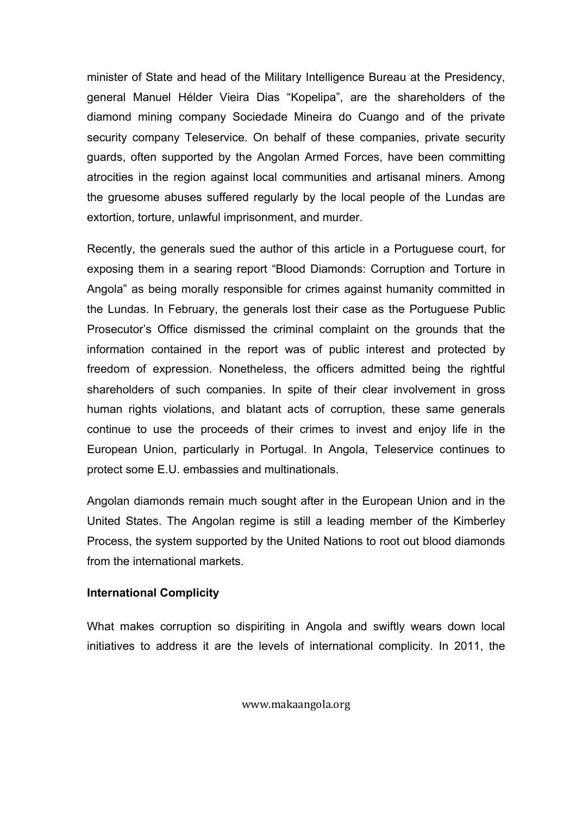minister of State and head of the Military Intelligence Bureau at the Presidency, general Manuel Hélder Vieira Dias "Kopelipa", are the shareholders of the diamond mining company Sociedade Mineira do Cuango and of the private security company Teleservice. On behalf of these companies, private security guards, often supported by the Angolan Armed Forces, have been committing atrocities in the region against local communities and artisanal miners. Among the gruesome abuses suffered regularly by the local people of the Lundas are extortion, torture, unlawful imprisonment, and murder.

Recently, the generals sued the author of this article in a Portuguese court, for exposing them in a searing report "Blood Diamonds: Corruption and Torture in Angola" as being morally responsible for crimes against humanity committed in the Lundas. In February, the generals lost their case as the Portuguese Public Prosecutor's Office dismissed the criminal complaint on the grounds that the information contained in the report was of public interest and protected by freedom of expression. Nonetheless, the officers admitted being the rightful shareholders of such companies. In spite of their clear involvement in gross human rights violations, and blatant acts of corruption, these same generals continue to use the proceeds of their crimes to invest and enjoy life in the European Union, particularly in Portugal. In Angola, Teleservice continues to protect some E.U. embassies and multinationals.

Angolan diamonds remain much sought after in the European Union and in the United States. The Angolan regime is still a leading member of the Kimberley Process, the system supported by the United Nations to root out blood diamonds from the international markets.

#### International Complicity

What makes corruption so dispiriting in Angola and swiftly wears down local initiatives to address it are the levels of international complicity. In 2011, the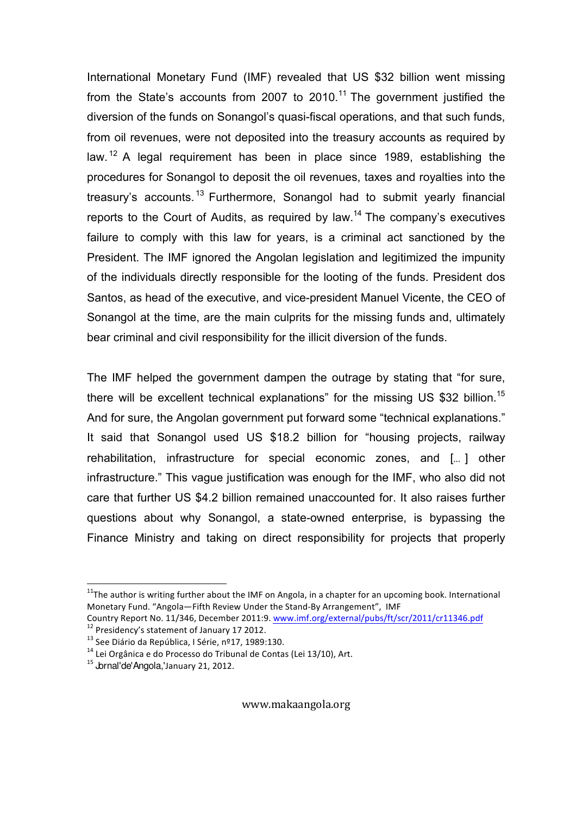International Monetary Fund (IMF) revealed that US \$32 billion went missing from the State's accounts from 2007 to 2010.<sup>11</sup> The government justified the diversion of the funds on Sonangol's quasi-fiscal operations, and that such funds, from oil revenues, were not deposited into the treasury accounts as required by law. <sup>12</sup> A legal requirement has been in place since 1989, establishing the procedures for Sonangol to deposit the oil revenues, taxes and royalties into the treasury's accounts.<sup>13</sup> Furthermore, Sonangol had to submit yearly financial reports to the Court of Audits, as required by law.<sup>14</sup> The company's executives failure to comply with this law for years, is a criminal act sanctioned by the President. The IMF ignored the Angolan legislation and legitimized the impunity of the individuals directly responsible for the looting of the funds. President dos Santos, as head of the executive, and vice-president Manuel Vicente, the CEO of Sonangol at the time, are the main culprits for the missing funds and, ultimately bear criminal and civil responsibility for the illicit diversion of the funds.

The IMF helped the government dampen the outrage by stating that "for sure, there will be excellent technical explanations" for the missing US \$32 billion.<sup>15</sup> And for sure, the Angolan government put forward some "technical explanations." It said that Sonangol used US \$18.2 billion for "housing projects, railway rehabilitation, infrastructure for special economic zones, and [… ] other infrastructure." This vague justification was enough for the IMF, who also did not care that further US \$4.2 billion remained unaccounted for. It also raises further questions about why Sonangol, a state-owned enterprise, is bypassing the Finance Ministry and taking on direct responsibility for projects that properly

!!!!!!!!!!!!!!!!!!!!!!!!!!!!!!!!!!!!!!!!!!!!!!!!!!!!!!!!

<sup>&</sup>lt;sup>11</sup>The author is writing further about the IMF on Angola, in a chapter for an upcoming book. International Monetary Fund. "Angola—Fifth Review Under the Stand-By Arrangement", IMF

Country Report No. 11/346, December 2011:9. www.imf.org/external/pubs/ft/scr/2011/cr11346.pdf <sup>12</sup> Presidency's statement of January 17 2012.

 $13$  See Diário da República, I Série, nº17, 1989:130.

 $14$  Lei Orgânica e do Processo do Tribunal de Contas (Lei 13/10), Art.

<sup>&</sup>lt;sup>15</sup> Jornal'de'Angola,'January 21, 2012.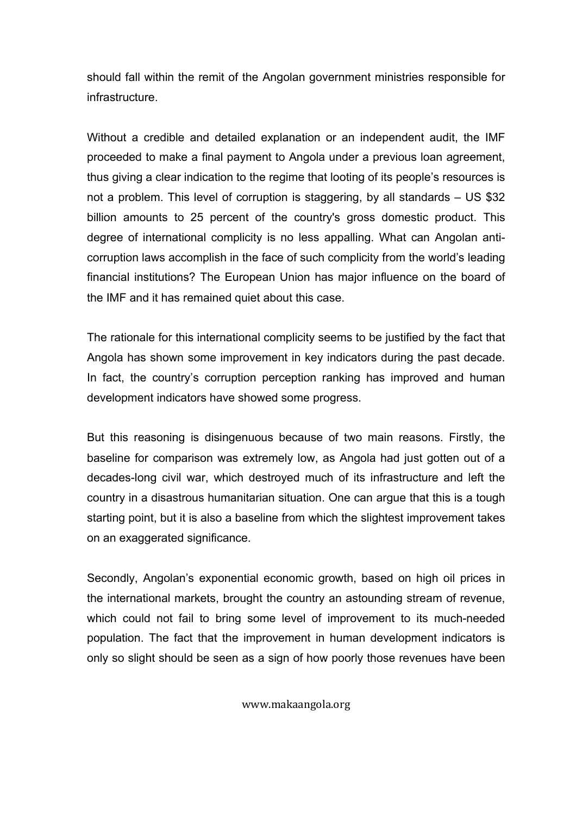should fall within the remit of the Angolan government ministries responsible for infrastructure.

Without a credible and detailed explanation or an independent audit, the IMF proceeded to make a final payment to Angola under a previous loan agreement, thus giving a clear indication to the regime that looting of its people's resources is not a problem. This level of corruption is staggering, by all standards – US \$32 billion amounts to 25 percent of the country's gross domestic product. This degree of international complicity is no less appalling. What can Angolan anticorruption laws accomplish in the face of such complicity from the world's leading financial institutions? The European Union has major influence on the board of the IMF and it has remained quiet about this case.

The rationale for this international complicity seems to be justified by the fact that Angola has shown some improvement in key indicators during the past decade. In fact, the country's corruption perception ranking has improved and human development indicators have showed some progress.

But this reasoning is disingenuous because of two main reasons. Firstly, the baseline for comparison was extremely low, as Angola had just gotten out of a decades-long civil war, which destroyed much of its infrastructure and left the country in a disastrous humanitarian situation. One can argue that this is a tough starting point, but it is also a baseline from which the slightest improvement takes on an exaggerated significance.

Secondly, Angolan's exponential economic growth, based on high oil prices in the international markets, brought the country an astounding stream of revenue, which could not fail to bring some level of improvement to its much-needed population. The fact that the improvement in human development indicators is only so slight should be seen as a sign of how poorly those revenues have been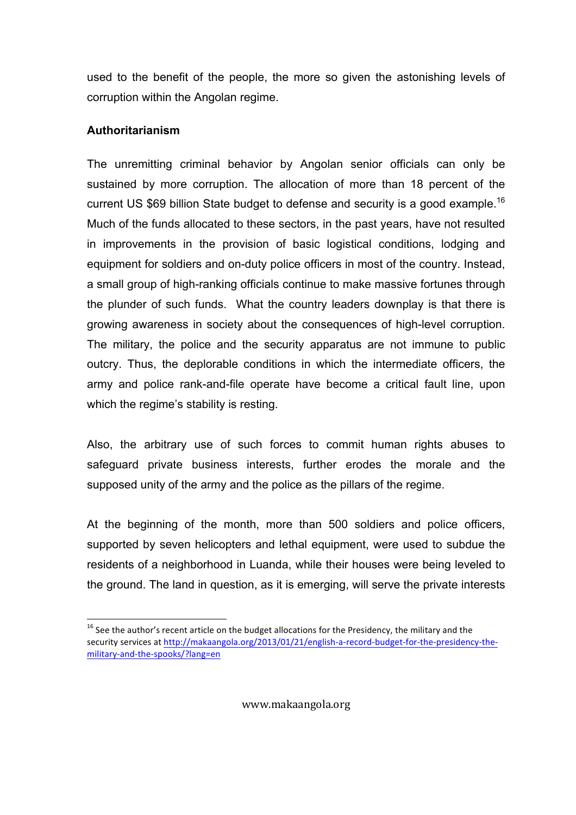used to the benefit of the people, the more so given the astonishing levels of corruption within the Angolan regime.

#### Authoritarianism

The unremitting criminal behavior by Angolan senior officials can only be sustained by more corruption. The allocation of more than 18 percent of the current US \$69 billion State budget to defense and security is a good example.<sup>16</sup> Much of the funds allocated to these sectors, in the past years, have not resulted in improvements in the provision of basic logistical conditions, lodging and equipment for soldiers and on-duty police officers in most of the country. Instead, a small group of high-ranking officials continue to make massive fortunes through the plunder of such funds. What the country leaders downplay is that there is growing awareness in society about the consequences of high-level corruption. The military, the police and the security apparatus are not immune to public outcry. Thus, the deplorable conditions in which the intermediate officers, the army and police rank-and-file operate have become a critical fault line, upon which the regime's stability is resting.

Also, the arbitrary use of such forces to commit human rights abuses to safeguard private business interests, further erodes the morale and the supposed unity of the army and the police as the pillars of the regime.

At the beginning of the month, more than 500 soldiers and police officers, supported by seven helicopters and lethal equipment, were used to subdue the residents of a neighborhood in Luanda, while their houses were being leveled to the ground. The land in question, as it is emerging, will serve the private interests

<sup>!!!!!!!!!!!!!!!!!!!!!!!!!!!!!!!!!!!!!!!!!!!!!!!!!!!!!!!!</sup>  $^{16}$  See the author's recent article on the budget allocations for the Presidency, the military and the security services at http://makaangola.org/2013/01/21/english-a-record-budget-for-the-presidency-themilitary-and-the-spooks/?lang=en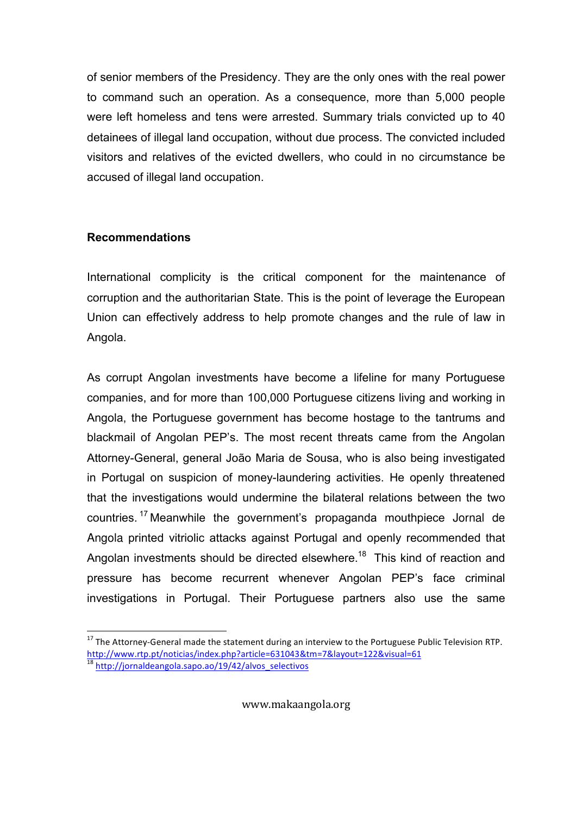of senior members of the Presidency. They are the only ones with the real power to command such an operation. As a consequence, more than 5,000 people were left homeless and tens were arrested. Summary trials convicted up to 40 detainees of illegal land occupation, without due process. The convicted included visitors and relatives of the evicted dwellers, who could in no circumstance be accused of illegal land occupation.

## Recommendations

International complicity is the critical component for the maintenance of corruption and the authoritarian State. This is the point of leverage the European Union can effectively address to help promote changes and the rule of law in Angola.

As corrupt Angolan investments have become a lifeline for many Portuguese companies, and for more than 100,000 Portuguese citizens living and working in Angola, the Portuguese government has become hostage to the tantrums and blackmail of Angolan PEP's. The most recent threats came from the Angolan Attorney-General, general João Maria de Sousa, who is also being investigated in Portugal on suspicion of money-laundering activities. He openly threatened that the investigations would undermine the bilateral relations between the two countries. <sup>17</sup> Meanwhile the government's propaganda mouthpiece Jornal de Angola printed vitriolic attacks against Portugal and openly recommended that Angolan investments should be directed elsewhere.<sup>18</sup> This kind of reaction and pressure has become recurrent whenever Angolan PEP's face criminal investigations in Portugal. Their Portuguese partners also use the same

<sup>!!!!!!!!!!!!!!!!!!!!!!!!!!!!!!!!!!!!!!!!!!!!!!!!!!!!!!!!</sup> <sup>17</sup> The Attorney-General made the statement during an interview to the Portuguese Public Television RTP. http://www.rtp.pt/noticias/index.php?article=631043&tm=7&layout=122&visual=61 <sup>18</sup> http://jornaldeangola.sapo.ao/19/42/alvos\_selectivos